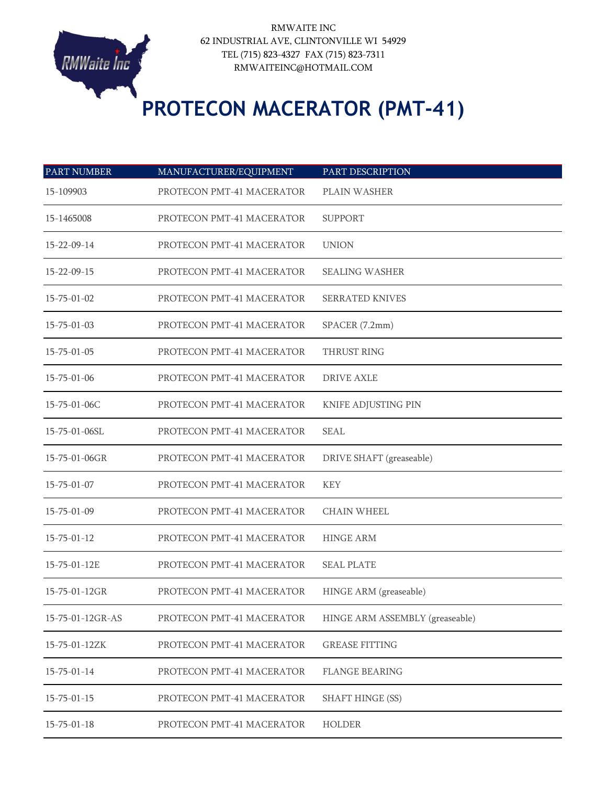

## **PROTECON MACERATOR (PMT-41)**

| <b>PART NUMBER</b>  | MANUFACTURER/EQUIPMENT    | PART DESCRIPTION                |
|---------------------|---------------------------|---------------------------------|
| 15-109903           | PROTECON PMT-41 MACERATOR | PLAIN WASHER                    |
| 15-1465008          | PROTECON PMT-41 MACERATOR | <b>SUPPORT</b>                  |
| 15-22-09-14         | PROTECON PMT-41 MACERATOR | <b>UNION</b>                    |
| 15-22-09-15         | PROTECON PMT-41 MACERATOR | <b>SEALING WASHER</b>           |
| $15 - 75 - 01 - 02$ | PROTECON PMT-41 MACERATOR | <b>SERRATED KNIVES</b>          |
| $15 - 75 - 01 - 03$ | PROTECON PMT-41 MACERATOR | SPACER (7.2mm)                  |
| $15 - 75 - 01 - 05$ | PROTECON PMT-41 MACERATOR | THRUST RING                     |
| $15 - 75 - 01 - 06$ | PROTECON PMT-41 MACERATOR | <b>DRIVE AXLE</b>               |
| 15-75-01-06C        | PROTECON PMT-41 MACERATOR | KNIFE ADJUSTING PIN             |
| 15-75-01-06SL       | PROTECON PMT-41 MACERATOR | SEAL                            |
| 15-75-01-06GR       | PROTECON PMT-41 MACERATOR | DRIVE SHAFT (greaseable)        |
| $15 - 75 - 01 - 07$ | PROTECON PMT-41 MACERATOR | <b>KEY</b>                      |
| $15 - 75 - 01 - 09$ | PROTECON PMT-41 MACERATOR | <b>CHAIN WHEEL</b>              |
| $15 - 75 - 01 - 12$ | PROTECON PMT-41 MACERATOR | <b>HINGE ARM</b>                |
| 15-75-01-12E        | PROTECON PMT-41 MACERATOR | <b>SEAL PLATE</b>               |
| 15-75-01-12GR       | PROTECON PMT-41 MACERATOR | HINGE ARM (greaseable)          |
| 15-75-01-12GR-AS    | PROTECON PMT-41 MACERATOR | HINGE ARM ASSEMBLY (greaseable) |
| 15-75-01-12ZK       | PROTECON PMT-41 MACERATOR | <b>GREASE FITTING</b>           |
| $15 - 75 - 01 - 14$ | PROTECON PMT-41 MACERATOR | <b>FLANGE BEARING</b>           |
| $15 - 75 - 01 - 15$ | PROTECON PMT-41 MACERATOR | <b>SHAFT HINGE (SS)</b>         |
| $15 - 75 - 01 - 18$ | PROTECON PMT-41 MACERATOR | <b>HOLDER</b>                   |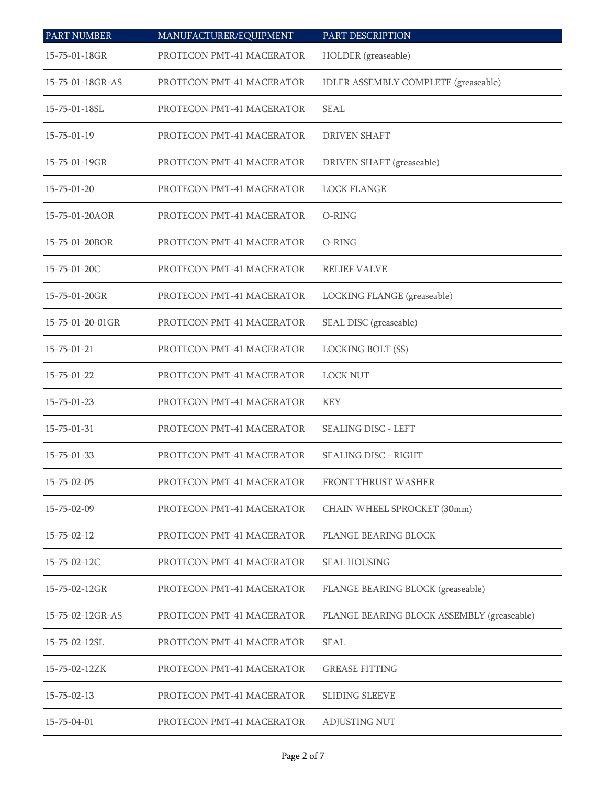| <b>PART NUMBER</b>  | MANUFACTURER/EQUIPMENT    | PART DESCRIPTION                           |
|---------------------|---------------------------|--------------------------------------------|
| 15-75-01-18GR       | PROTECON PMT-41 MACERATOR | HOLDER (greaseable)                        |
| 15-75-01-18GR-AS    | PROTECON PMT-41 MACERATOR | IDLER ASSEMBLY COMPLETE (greaseable)       |
| 15-75-01-18SL       | PROTECON PMT-41 MACERATOR | <b>SEAL</b>                                |
| $15 - 75 - 01 - 19$ | PROTECON PMT-41 MACERATOR | <b>DRIVEN SHAFT</b>                        |
| 15-75-01-19GR       | PROTECON PMT-41 MACERATOR | DRIVEN SHAFT (greaseable)                  |
| $15 - 75 - 01 - 20$ | PROTECON PMT-41 MACERATOR | <b>LOCK FLANGE</b>                         |
| 15-75-01-20AOR      | PROTECON PMT-41 MACERATOR | O-RING                                     |
| 15-75-01-20BOR      | PROTECON PMT-41 MACERATOR | O-RING                                     |
| 15-75-01-20C        | PROTECON PMT-41 MACERATOR | <b>RELIEF VALVE</b>                        |
| 15-75-01-20GR       | PROTECON PMT-41 MACERATOR | LOCKING FLANGE (greaseable)                |
| 15-75-01-20-01GR    | PROTECON PMT-41 MACERATOR | SEAL DISC (greaseable)                     |
| $15 - 75 - 01 - 21$ | PROTECON PMT-41 MACERATOR | LOCKING BOLT (SS)                          |
| $15 - 75 - 01 - 22$ | PROTECON PMT-41 MACERATOR | <b>LOCK NUT</b>                            |
| $15 - 75 - 01 - 23$ | PROTECON PMT-41 MACERATOR | <b>KEY</b>                                 |
| 15-75-01-31         | PROTECON PMT-41 MACERATOR | <b>SEALING DISC - LEFT</b>                 |
| 15-75-01-33         | PROTECON PMT-41 MACERATOR | <b>SEALING DISC - RIGHT</b>                |
| $15 - 75 - 02 - 05$ | PROTECON PMT-41 MACERATOR | FRONT THRUST WASHER                        |
| $15 - 75 - 02 - 09$ | PROTECON PMT-41 MACERATOR | CHAIN WHEEL SPROCKET (30mm)                |
| $15 - 75 - 02 - 12$ | PROTECON PMT-41 MACERATOR | <b>FLANGE BEARING BLOCK</b>                |
| 15-75-02-12C        | PROTECON PMT-41 MACERATOR | <b>SEAL HOUSING</b>                        |
| 15-75-02-12GR       | PROTECON PMT-41 MACERATOR | FLANGE BEARING BLOCK (greaseable)          |
| 15-75-02-12GR-AS    | PROTECON PMT-41 MACERATOR | FLANGE BEARING BLOCK ASSEMBLY (greaseable) |
| 15-75-02-12SL       | PROTECON PMT-41 MACERATOR | <b>SEAL</b>                                |
| 15-75-02-12ZK       | PROTECON PMT-41 MACERATOR | <b>GREASE FITTING</b>                      |
| $15 - 75 - 02 - 13$ | PROTECON PMT-41 MACERATOR | <b>SLIDING SLEEVE</b>                      |
| 15-75-04-01         | PROTECON PMT-41 MACERATOR | ADJUSTING NUT                              |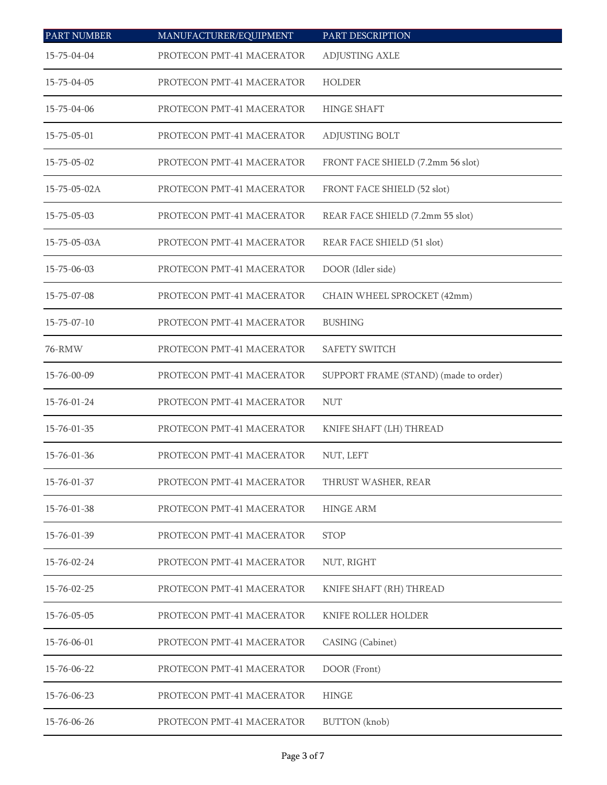| <b>PART NUMBER</b>   | MANUFACTURER/EQUIPMENT    | PART DESCRIPTION                      |
|----------------------|---------------------------|---------------------------------------|
| 15-75-04-04          | PROTECON PMT-41 MACERATOR | ADJUSTING AXLE                        |
| 15-75-04-05          | PROTECON PMT-41 MACERATOR | HOLDER                                |
| 15-75-04-06          | PROTECON PMT-41 MACERATOR | <b>HINGE SHAFT</b>                    |
| $15 - 75 - 05 - 01$  | PROTECON PMT-41 MACERATOR | ADJUSTING BOLT                        |
| $15 - 75 - 05 - 02$  | PROTECON PMT-41 MACERATOR | FRONT FACE SHIELD (7.2mm 56 slot)     |
| $15 - 75 - 05 - 02A$ | PROTECON PMT-41 MACERATOR | FRONT FACE SHIELD (52 slot)           |
| $15 - 75 - 05 - 03$  | PROTECON PMT-41 MACERATOR | REAR FACE SHIELD (7.2mm 55 slot)      |
| 15-75-05-03A         | PROTECON PMT-41 MACERATOR | REAR FACE SHIELD (51 slot)            |
| 15-75-06-03          | PROTECON PMT-41 MACERATOR | DOOR (Idler side)                     |
| 15-75-07-08          | PROTECON PMT-41 MACERATOR | CHAIN WHEEL SPROCKET (42mm)           |
| $15 - 75 - 07 - 10$  | PROTECON PMT-41 MACERATOR | <b>BUSHING</b>                        |
| 76-RMW               | PROTECON PMT-41 MACERATOR | <b>SAFETY SWITCH</b>                  |
| 15-76-00-09          | PROTECON PMT-41 MACERATOR | SUPPORT FRAME (STAND) (made to order) |
| 15-76-01-24          | PROTECON PMT-41 MACERATOR | <b>NUT</b>                            |
| 15-76-01-35          | PROTECON PMT-41 MACERATOR | KNIFE SHAFT (LH) THREAD               |
| 15-76-01-36          | PROTECON PMT-41 MACERATOR | NUT, LEFT                             |
| $15 - 76 - 01 - 37$  | PROTECON PMT-41 MACERATOR | THRUST WASHER, REAR                   |
| 15-76-01-38          | PROTECON PMT-41 MACERATOR | <b>HINGE ARM</b>                      |
| 15-76-01-39          | PROTECON PMT-41 MACERATOR | <b>STOP</b>                           |
| 15-76-02-24          | PROTECON PMT-41 MACERATOR | NUT, RIGHT                            |
| 15-76-02-25          | PROTECON PMT-41 MACERATOR | KNIFE SHAFT (RH) THREAD               |
| $15 - 76 - 05 - 05$  | PROTECON PMT-41 MACERATOR | KNIFE ROLLER HOLDER                   |
| 15-76-06-01          | PROTECON PMT-41 MACERATOR | CASING (Cabinet)                      |
| 15-76-06-22          | PROTECON PMT-41 MACERATOR | DOOR (Front)                          |
| 15-76-06-23          | PROTECON PMT-41 MACERATOR | <b>HINGE</b>                          |
| 15-76-06-26          | PROTECON PMT-41 MACERATOR | <b>BUTTON</b> (knob)                  |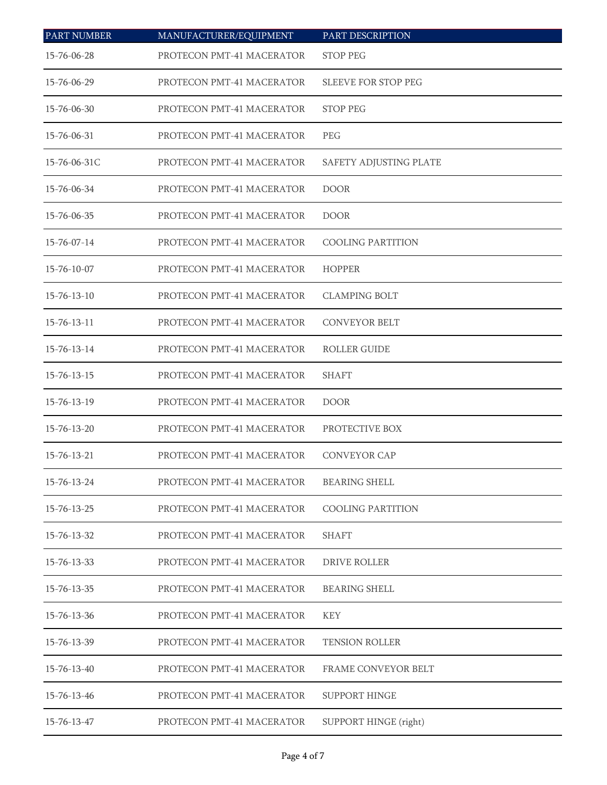| <b>PART NUMBER</b>  | MANUFACTURER/EQUIPMENT    | PART DESCRIPTION           |
|---------------------|---------------------------|----------------------------|
| 15-76-06-28         | PROTECON PMT-41 MACERATOR | <b>STOP PEG</b>            |
| 15-76-06-29         | PROTECON PMT-41 MACERATOR | <b>SLEEVE FOR STOP PEG</b> |
| 15-76-06-30         | PROTECON PMT-41 MACERATOR | <b>STOP PEG</b>            |
| 15-76-06-31         | PROTECON PMT-41 MACERATOR | <b>PEG</b>                 |
| 15-76-06-31C        | PROTECON PMT-41 MACERATOR | SAFETY ADJUSTING PLATE     |
| 15-76-06-34         | PROTECON PMT-41 MACERATOR | <b>DOOR</b>                |
| 15-76-06-35         | PROTECON PMT-41 MACERATOR | <b>DOOR</b>                |
| 15-76-07-14         | PROTECON PMT-41 MACERATOR | <b>COOLING PARTITION</b>   |
| 15-76-10-07         | PROTECON PMT-41 MACERATOR | <b>HOPPER</b>              |
| $15 - 76 - 13 - 10$ | PROTECON PMT-41 MACERATOR | <b>CLAMPING BOLT</b>       |
| $15 - 76 - 13 - 11$ | PROTECON PMT-41 MACERATOR | <b>CONVEYOR BELT</b>       |
| 15-76-13-14         | PROTECON PMT-41 MACERATOR | <b>ROLLER GUIDE</b>        |
| 15-76-13-15         | PROTECON PMT-41 MACERATOR | <b>SHAFT</b>               |
| 15-76-13-19         | PROTECON PMT-41 MACERATOR | <b>DOOR</b>                |
| 15-76-13-20         | PROTECON PMT-41 MACERATOR | PROTECTIVE BOX             |
| 15-76-13-21         | PROTECON PMT-41 MACERATOR | <b>CONVEYOR CAP</b>        |
| 15-76-13-24         | PROTECON PMT-41 MACERATOR | <b>BEARING SHELL</b>       |
| 15-76-13-25         | PROTECON PMT-41 MACERATOR | <b>COOLING PARTITION</b>   |
| 15-76-13-32         | PROTECON PMT-41 MACERATOR | <b>SHAFT</b>               |
| 15-76-13-33         | PROTECON PMT-41 MACERATOR | <b>DRIVE ROLLER</b>        |
| 15-76-13-35         | PROTECON PMT-41 MACERATOR | <b>BEARING SHELL</b>       |
| 15-76-13-36         | PROTECON PMT-41 MACERATOR | <b>KEY</b>                 |
| 15-76-13-39         | PROTECON PMT-41 MACERATOR | <b>TENSION ROLLER</b>      |
| 15-76-13-40         | PROTECON PMT-41 MACERATOR | FRAME CONVEYOR BELT        |
| 15-76-13-46         | PROTECON PMT-41 MACERATOR | SUPPORT HINGE              |
| 15-76-13-47         | PROTECON PMT-41 MACERATOR | SUPPORT HINGE (right)      |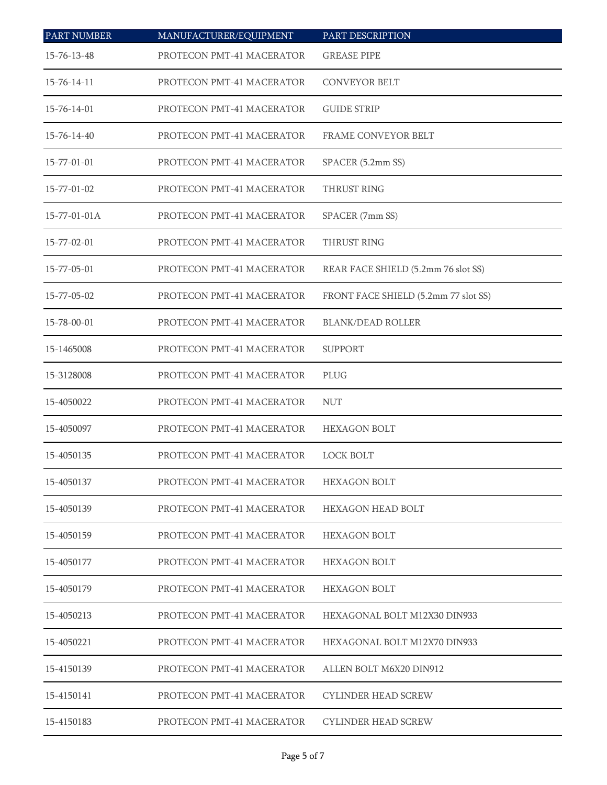| <b>PART NUMBER</b>   | MANUFACTURER/EQUIPMENT    | PART DESCRIPTION                     |
|----------------------|---------------------------|--------------------------------------|
| 15-76-13-48          | PROTECON PMT-41 MACERATOR | <b>GREASE PIPE</b>                   |
| $15 - 76 - 14 - 11$  | PROTECON PMT-41 MACERATOR | <b>CONVEYOR BELT</b>                 |
| 15-76-14-01          | PROTECON PMT-41 MACERATOR | <b>GUIDE STRIP</b>                   |
| $15 - 76 - 14 - 40$  | PROTECON PMT-41 MACERATOR | <b>FRAME CONVEYOR BELT</b>           |
| 15-77-01-01          | PROTECON PMT-41 MACERATOR | SPACER (5.2mm SS)                    |
| 15-77-01-02          | PROTECON PMT-41 MACERATOR | THRUST RING                          |
| $15 - 77 - 01 - 01A$ | PROTECON PMT-41 MACERATOR | SPACER (7mm SS)                      |
| 15-77-02-01          | PROTECON PMT-41 MACERATOR | THRUST RING                          |
| 15-77-05-01          | PROTECON PMT-41 MACERATOR | REAR FACE SHIELD (5.2mm 76 slot SS)  |
| 15-77-05-02          | PROTECON PMT-41 MACERATOR | FRONT FACE SHIELD (5.2mm 77 slot SS) |
| 15-78-00-01          | PROTECON PMT-41 MACERATOR | <b>BLANK/DEAD ROLLER</b>             |
| 15-1465008           | PROTECON PMT-41 MACERATOR | <b>SUPPORT</b>                       |
| 15-3128008           | PROTECON PMT-41 MACERATOR | PLUG                                 |
| 15-4050022           | PROTECON PMT-41 MACERATOR | <b>NUT</b>                           |
| 15-4050097           | PROTECON PMT-41 MACERATOR | <b>HEXAGON BOLT</b>                  |
| 15-4050135           | PROTECON PMT-41 MACERATOR | <b>LOCK BOLT</b>                     |
| 15-4050137           | PROTECON PMT-41 MACERATOR | <b>HEXAGON BOLT</b>                  |
| 15-4050139           | PROTECON PMT-41 MACERATOR | <b>HEXAGON HEAD BOLT</b>             |
| 15-4050159           | PROTECON PMT-41 MACERATOR | <b>HEXAGON BOLT</b>                  |
| 15-4050177           | PROTECON PMT-41 MACERATOR | <b>HEXAGON BOLT</b>                  |
| 15-4050179           | PROTECON PMT-41 MACERATOR | <b>HEXAGON BOLT</b>                  |
| 15-4050213           | PROTECON PMT-41 MACERATOR | HEXAGONAL BOLT M12X30 DIN933         |
| 15-4050221           | PROTECON PMT-41 MACERATOR | HEXAGONAL BOLT M12X70 DIN933         |
| 15-4150139           | PROTECON PMT-41 MACERATOR | ALLEN BOLT M6X20 DIN912              |
| 15-4150141           | PROTECON PMT-41 MACERATOR | CYLINDER HEAD SCREW                  |
| 15-4150183           | PROTECON PMT-41 MACERATOR | <b>CYLINDER HEAD SCREW</b>           |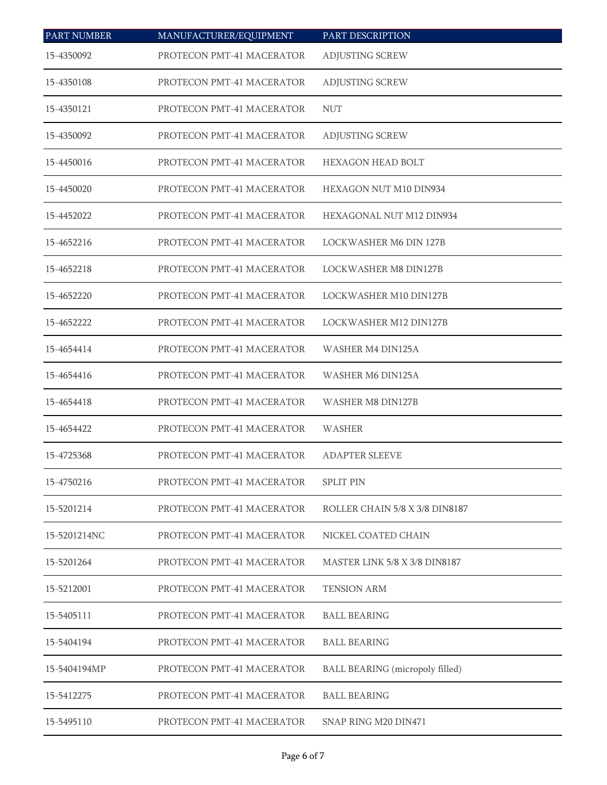| <b>PART NUMBER</b> | MANUFACTURER/EQUIPMENT    | PART DESCRIPTION                       |
|--------------------|---------------------------|----------------------------------------|
| 15-4350092         | PROTECON PMT-41 MACERATOR | ADJUSTING SCREW                        |
| 15-4350108         | PROTECON PMT-41 MACERATOR | ADJUSTING SCREW                        |
| 15-4350121         | PROTECON PMT-41 MACERATOR | <b>NUT</b>                             |
| 15-4350092         | PROTECON PMT-41 MACERATOR | <b>ADJUSTING SCREW</b>                 |
| 15-4450016         | PROTECON PMT-41 MACERATOR | <b>HEXAGON HEAD BOLT</b>               |
| 15-4450020         | PROTECON PMT-41 MACERATOR | HEXAGON NUT M10 DIN934                 |
| 15-4452022         | PROTECON PMT-41 MACERATOR | HEXAGONAL NUT M12 DIN934               |
| 15-4652216         | PROTECON PMT-41 MACERATOR | LOCKWASHER M6 DIN 127B                 |
| 15-4652218         | PROTECON PMT-41 MACERATOR | <b>LOCKWASHER M8 DIN127B</b>           |
| 15-4652220         | PROTECON PMT-41 MACERATOR | LOCKWASHER M10 DIN127B                 |
| 15-4652222         | PROTECON PMT-41 MACERATOR | LOCKWASHER M12 DIN127B                 |
| 15-4654414         | PROTECON PMT-41 MACERATOR | WASHER M4 DIN125A                      |
| 15-4654416         | PROTECON PMT-41 MACERATOR | WASHER M6 DIN125A                      |
| 15-4654418         | PROTECON PMT-41 MACERATOR | WASHER M8 DIN127B                      |
| 15-4654422         | PROTECON PMT-41 MACERATOR | WASHER                                 |
| 15-4725368         | PROTECON PMT-41 MACERATOR | <b>ADAPTER SLEEVE</b>                  |
| 15-4750216         | PROTECON PMT-41 MACERATOR | <b>SPLIT PIN</b>                       |
| 15-5201214         | PROTECON PMT-41 MACERATOR | ROLLER CHAIN 5/8 X 3/8 DIN8187         |
| 15-5201214NC       | PROTECON PMT-41 MACERATOR | NICKEL COATED CHAIN                    |
| 15-5201264         | PROTECON PMT-41 MACERATOR | MASTER LINK 5/8 X 3/8 DIN8187          |
| 15-5212001         | PROTECON PMT-41 MACERATOR | <b>TENSION ARM</b>                     |
| 15-5405111         | PROTECON PMT-41 MACERATOR | <b>BALL BEARING</b>                    |
| 15-5404194         | PROTECON PMT-41 MACERATOR | <b>BALL BEARING</b>                    |
| 15-5404194MP       | PROTECON PMT-41 MACERATOR | <b>BALL BEARING</b> (micropoly filled) |
| 15-5412275         | PROTECON PMT-41 MACERATOR | <b>BALL BEARING</b>                    |
| 15-5495110         | PROTECON PMT-41 MACERATOR | SNAP RING M20 DIN471                   |